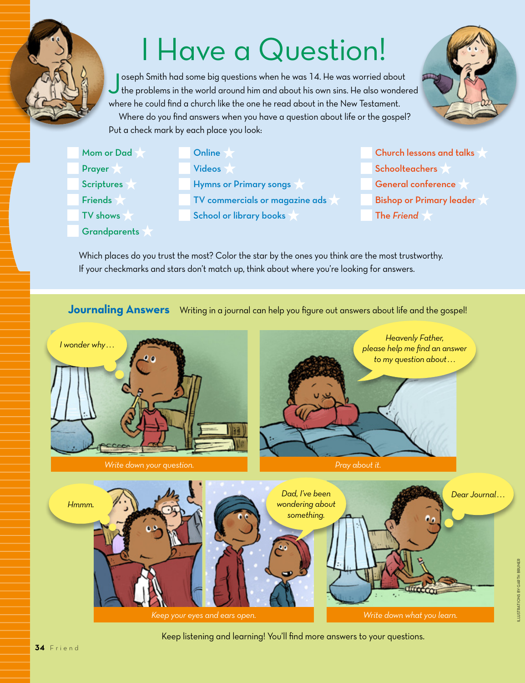# I Have a Question!

Joseph Smith had some big questions when he was 14. He was worried about the problems in the world around him and about his own sins. He also wondered where he could find a church like the one he read about in the New Testament. Where do you find answers when you have a question about life or the gospel?



| Mom or Dad     | Online                         |
|----------------|--------------------------------|
| <b>Prayer</b>  | <b>Videos</b>                  |
| Scriptures     | Hymns or Primary songs         |
| <b>Friends</b> | TV commercials or magazine ads |
| TV shows       | <b>School or library books</b> |

Put a check mark by each place you look:

**Grandparents** 

Church lessons and talks **Schoolteachers** General conference Bishop or Primary leader The *Friend*

Which places do you trust the most? Color the star by the ones you think are the most trustworthy. If your checkmarks and stars don't match up, think about where you're looking for answers.

#### **Journaling Answers** Writing in a journal can help you figure out answers about life and the gospel!



Keep listening and learning! You'll find more answers to your questions.